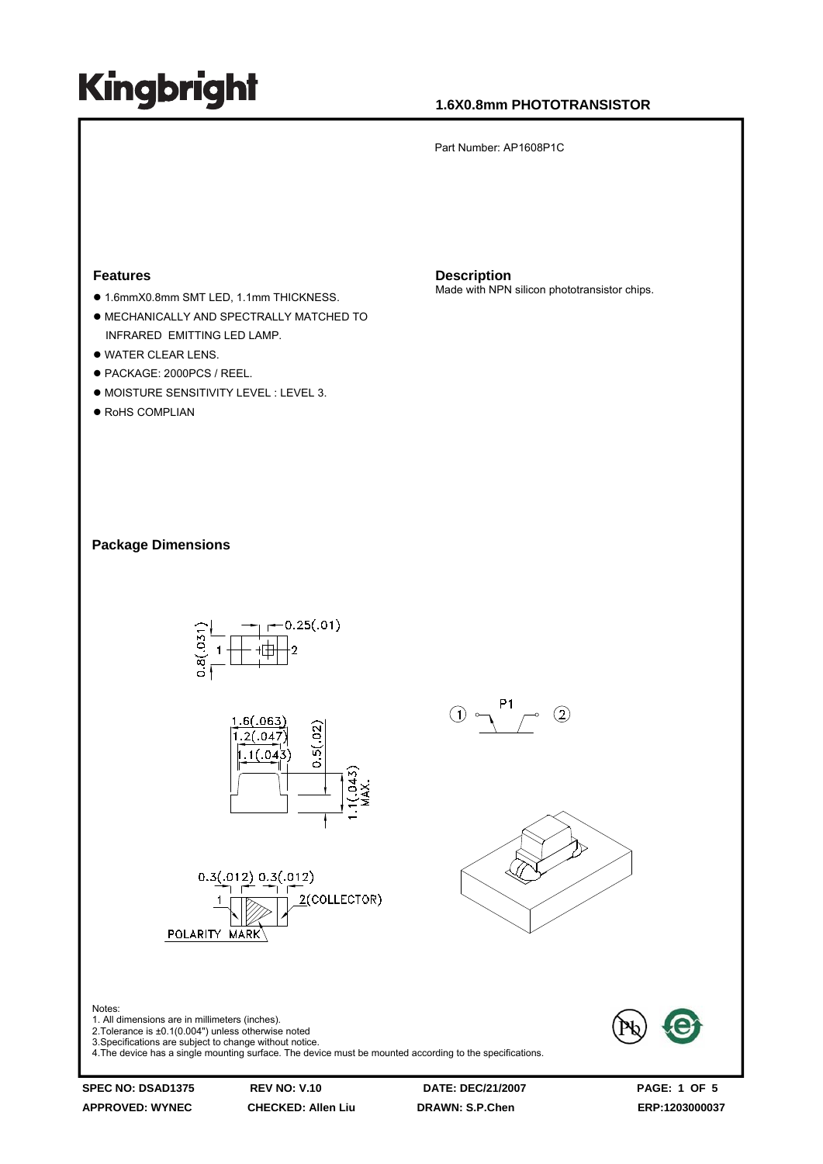### **1.6X0.8mm PHOTOTRANSISTOR**

Part Number: AP1608P1C

#### **Features**

- $\bullet$  1.6mmX0.8mm SMT LED, 1.1mm THICKNESS.
- $\bullet$  MECHANICALLY AND SPECTRALLY MATCHED TO INFRARED EMITTING LED LAMP.
- $\bullet$  WATER CLEAR LENS.
- PACKAGE: 2000PCS / REEL.
- $\bullet$  MOISTURE SENSITIVITY LEVEL : LEVEL 3.
- $\bullet$  RoHS COMPLIAN

**Description** Made with NPN silicon phototransistor chips.

**Package Dimensions** 



**APPROVED: WYNEC CHECKED: Allen Liu DRAWN: S.P.Chen ERP:1203000037** 

Notes: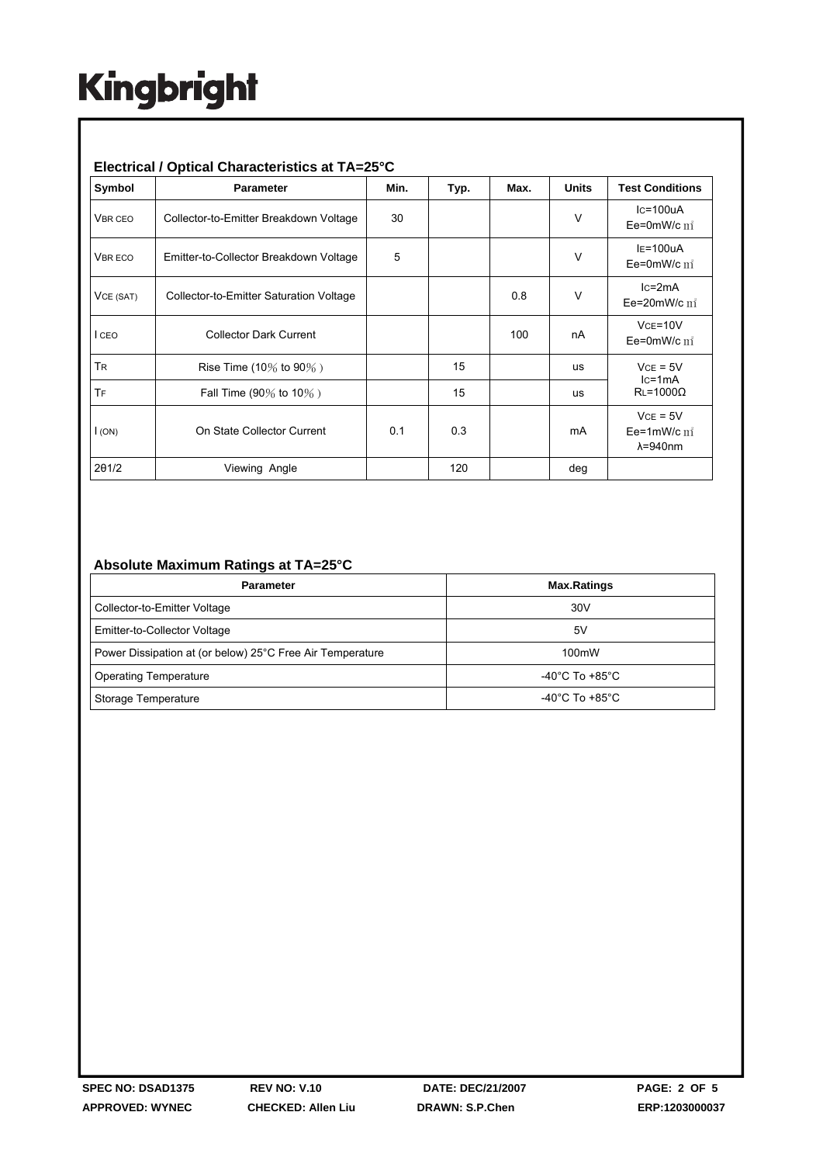#### **Electrical / Optical Characteristics at TA=25°C**

| Symbol         | <b>Parameter</b>                        | Min. | Typ. | Max. | <b>Units</b> | <b>Test Conditions</b>                             |
|----------------|-----------------------------------------|------|------|------|--------------|----------------------------------------------------|
| <b>VBR CEO</b> | Collector-to-Emitter Breakdown Voltage  | 30   |      |      | $\vee$       | $lc = 100uA$<br>Ee=0mW/c $m^2$                     |
| <b>VBRECO</b>  | Emitter-to-Collector Breakdown Voltage  | 5    |      |      | $\vee$       | $IE=100uA$<br>Ee=0mW/c $\mathrm{m}^*$              |
| VCE (SAT)      | Collector-to-Emitter Saturation Voltage |      |      | 0.8  | V            | $lc = 2mA$<br>Ee=20mW/c $\text{m}^2$               |
| I CEO          | <b>Collector Dark Current</b>           |      |      | 100  | nA           | $VCE=10V$<br>Ee=0mW/c $m^2$                        |
| <b>TR</b>      | Rise Time (10% to 90%)                  |      | 15   |      | us           | $VCE = 5V$<br>$lc=1mA$<br>$RL = 1000\Omega$        |
| TF             | Fall Time (90% to 10%)                  |      | 15   |      | us           |                                                    |
| I(ON)          | On State Collector Current              | 0.1  | 0.3  |      | mA           | $VCE = 5V$<br>Ee=1mW/c $m^2$<br>$\lambda = 940$ nm |
| 201/2          | Viewing Angle                           |      | 120  |      | deg          |                                                    |

#### **Absolute Maximum Ratings at TA=25°C**

| <b>Parameter</b>                                          | <b>Max.Ratings</b>                 |  |  |
|-----------------------------------------------------------|------------------------------------|--|--|
| Collector-to-Emitter Voltage                              | 30V                                |  |  |
| Emitter-to-Collector Voltage                              | 5۷                                 |  |  |
| Power Dissipation at (or below) 25°C Free Air Temperature | 100mW                              |  |  |
| <b>Operating Temperature</b>                              | $-40^{\circ}$ C To $+85^{\circ}$ C |  |  |
| Storage Temperature                                       | $-40^{\circ}$ C To $+85^{\circ}$ C |  |  |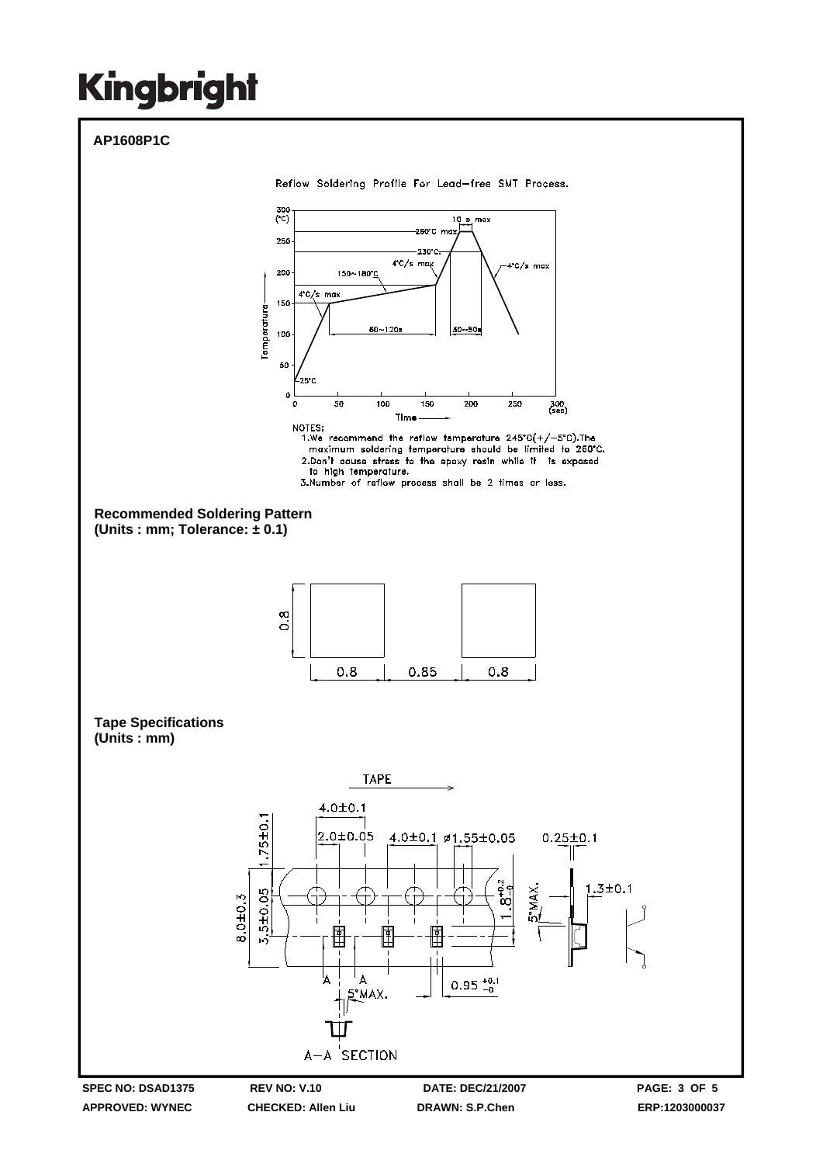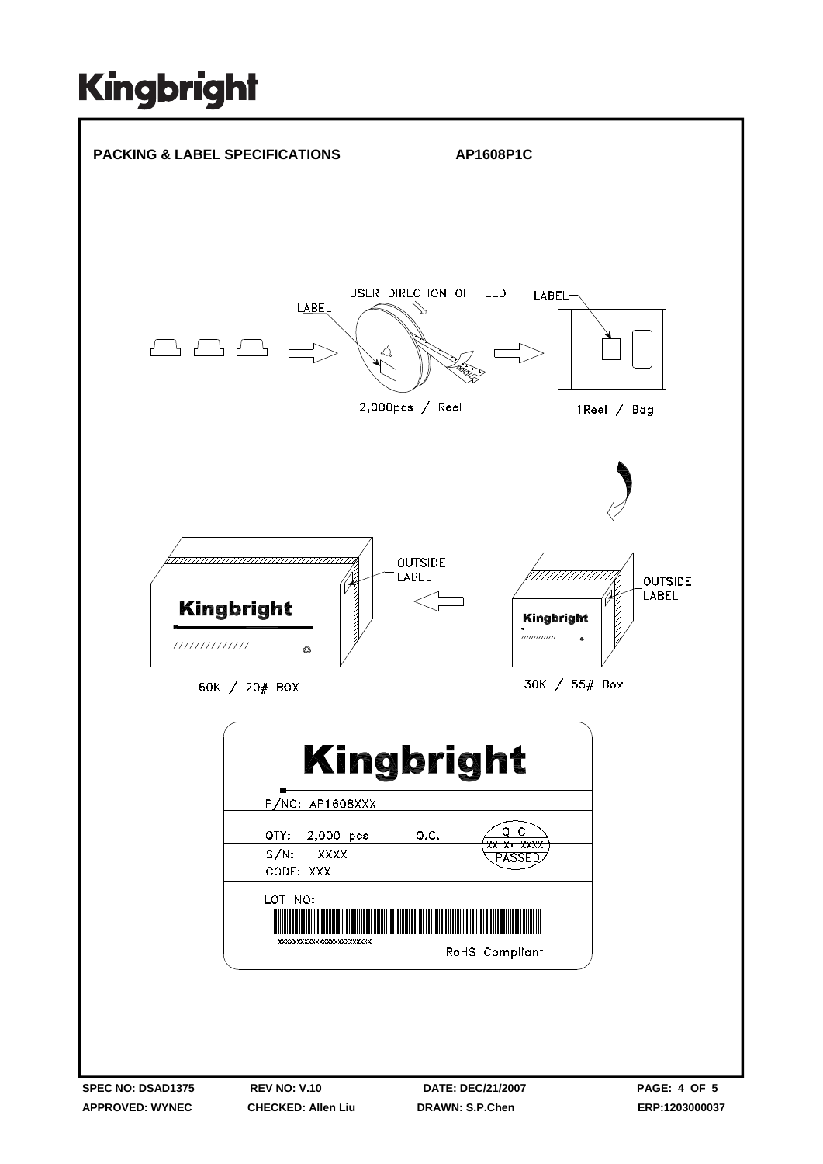